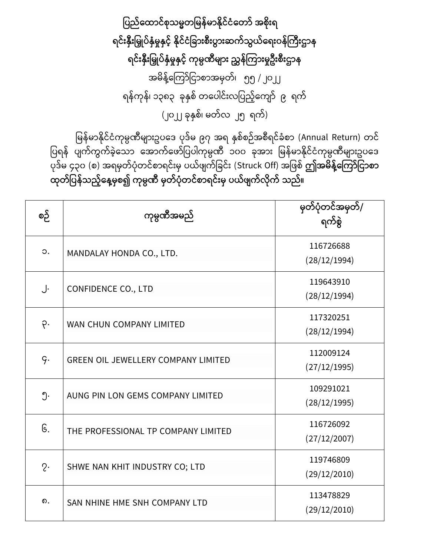ပြည်ထောင်စုသမ္မတမြန်မာနိုင်ငံတော် အစိုးရ ရင်းနှီးမြှုပ်နှံမှုနှင့် နိုင်ငံခြားစီးပွားဆက်သွယ်ရေးဝန်ကြီးဌာန ရင်းနှီးမြှုပ်နှံမှုနှင့် ကုမ္ပဏီများ ညွှန်ကြားမှုဦးစီးဌာန အမိန့်ကြော်ငြာစာအမှတ်၊ ၅၅ /၂၀၂၂ ရန်ကုန်၊ ၁၃၈၃ ခုနှစ် တပေါင်းလပြည့်ကျော် ၉ ရက် (၂၀၂၂ ခုနှစ်၊ မတ်လ ၂၅ ရက်)

မြန်မာနိုင်ငံကုမ္ပဏီများဥပဒေ ပုဒ်မ ၉၇ အရ နှစ်စဉ်အစီရင်ခံစာ (Annual Return) တင် .<br>ပြရန် ပျက်ကွက်ခဲ့သော အောက်ဖော်ပြပါကုမ္ပဏီ ၁၀၀ ခုအား မြန်မာနိုင်ငံကုမ္ပဏီများဥပဒေ ြုေြော်မ ၄၃၀ (စ) အရမှတြော်ြံုတ ြော်စြာရ ြော််းမှ ြယြော် ြော်ငခ ြော််း (Struck Off) အင စြော် **ဤအမ္ န့််ထကကော်ပငောစော ုတ်ပြန်သည့််ထန့်မ္ှစ၍ ကုမ္ပဏ မ္ှတ်ြံုတင်စောရင်ိုးမ္ှ ြယ်ဖ က်လ ုက် သည်။**

| စဉ်         | ကုမ္ပဏီအမည်                                | မှတ်ပုံတင်အမှတ်/<br>ရက်စွဲ |
|-------------|--------------------------------------------|----------------------------|
| $\circ$ .   | MANDALAY HONDA CO., LTD.                   | 116726688<br>(28/12/1994)  |
| J.          | <b>CONFIDENCE CO., LTD</b>                 | 119643910<br>(28/12/1994)  |
| $\varphi$ . | WAN CHUN COMPANY LIMITED                   | 117320251<br>(28/12/1994)  |
| q.          | <b>GREEN OIL JEWELLERY COMPANY LIMITED</b> | 112009124<br>(27/12/1995)  |
| ၅.          | AUNG PIN LON GEMS COMPANY LIMITED          | 109291021<br>(28/12/1995)  |
| G.          | THE PROFESSIONAL TP COMPANY LIMITED        | 116726092<br>(27/12/2007)  |
| $2\cdot$    | SHWE NAN KHIT INDUSTRY CO; LTD             | 119746809<br>(29/12/2010)  |
| ၈.          | SAN NHINE HME SNH COMPANY LTD              | 113478829<br>(29/12/2010)  |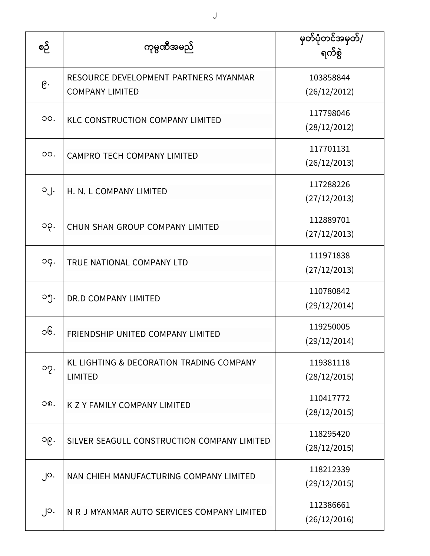| စဉ်             | ကုမ္ပဏီအမည်                                                     | မှတ်ပုံတင်အမှတ်/<br>ရက်စွဲ |
|-----------------|-----------------------------------------------------------------|----------------------------|
| $\mathcal{E}$ . | RESOURCE DEVELOPMENT PARTNERS MYANMAR<br><b>COMPANY LIMITED</b> | 103858844<br>(26/12/2012)  |
| OO.             | <b>KLC CONSTRUCTION COMPANY LIMITED</b>                         | 117798046<br>(28/12/2012)  |
| OO.             | <b>CAMPRO TECH COMPANY LIMITED</b>                              | 117701131<br>(26/12/2013)  |
| $O_1$ .         | H. N. L COMPANY LIMITED                                         | 117288226<br>(27/12/2013)  |
| ၁၃.             | CHUN SHAN GROUP COMPANY LIMITED                                 | 112889701<br>(27/12/2013)  |
| og.             | TRUE NATIONAL COMPANY LTD                                       | 111971838<br>(27/12/2013)  |
| ၁၅.             | DR.D COMPANY LIMITED                                            | 110780842<br>(29/12/2014)  |
| ၁၆.             | FRIENDSHIP UNITED COMPANY LIMITED                               | 119250005<br>(29/12/2014)  |
| oq.             | KL LIGHTING & DECORATION TRADING COMPANY<br><b>LIMITED</b>      | 119381118<br>(28/12/2015)  |
| ၁၈.             | K Z Y FAMILY COMPANY LIMITED                                    | 110417772<br>(28/12/2015)  |
| ၁၉.             | SILVER SEAGULL CONSTRUCTION COMPANY LIMITED                     | 118295420<br>(28/12/2015)  |
| $\int$ O.       | NAN CHIEH MANUFACTURING COMPANY LIMITED                         | 118212339<br>(29/12/2015)  |
| ၂၁.             | N R J MYANMAR AUTO SERVICES COMPANY LIMITED                     | 112386661<br>(26/12/2016)  |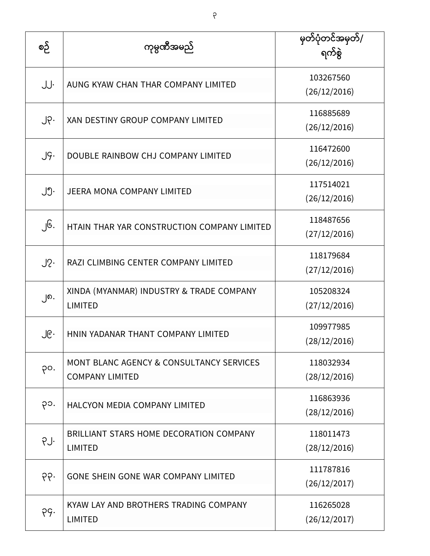| စဉ် | ကုမ္ပဏီအမည်                                                                   | မြတ်ပုံတင်အမှတ်/<br>ရက်စွဲ |
|-----|-------------------------------------------------------------------------------|----------------------------|
| JJ. | AUNG KYAW CHAN THAR COMPANY LIMITED                                           | 103267560<br>(26/12/2016)  |
| ၂၃. | XAN DESTINY GROUP COMPANY LIMITED                                             | 116885689<br>(26/12/2016)  |
| J9. | DOUBLE RAINBOW CHJ COMPANY LIMITED                                            | 116472600<br>(26/12/2016)  |
| ၂၅. | <b>JEERA MONA COMPANY LIMITED</b>                                             | 117514021<br>(26/12/2016)  |
| ၂၆. | HTAIN THAR YAR CONSTRUCTION COMPANY LIMITED                                   | 118487656<br>(27/12/2016)  |
| J2  | RAZI CLIMBING CENTER COMPANY LIMITED                                          | 118179684<br>(27/12/2016)  |
| ၂၈. | XINDA (MYANMAR) INDUSTRY & TRADE COMPANY<br><b>LIMITED</b>                    | 105208324<br>(27/12/2016)  |
| ၂၉․ | HNIN YADANAR THANT COMPANY LIMITED                                            | 109977985<br>(28/12/2016)  |
| po. | <b>MONT BLANC AGENCY &amp; CONSULTANCY SERVICES</b><br><b>COMPANY LIMITED</b> | 118032934<br>(28/12/2016)  |
| ၃၁. | <b>HALCYON MEDIA COMPANY LIMITED</b>                                          | 116863936<br>(28/12/2016)  |
| PJ. | BRILLIANT STARS HOME DECORATION COMPANY<br><b>LIMITED</b>                     | 118011473<br>(28/12/2016)  |
| .99 | GONE SHEIN GONE WAR COMPANY LIMITED                                           | 111787816<br>(26/12/2017)  |
| PG. | KYAW LAY AND BROTHERS TRADING COMPANY<br><b>LIMITED</b>                       | 116265028<br>(26/12/2017)  |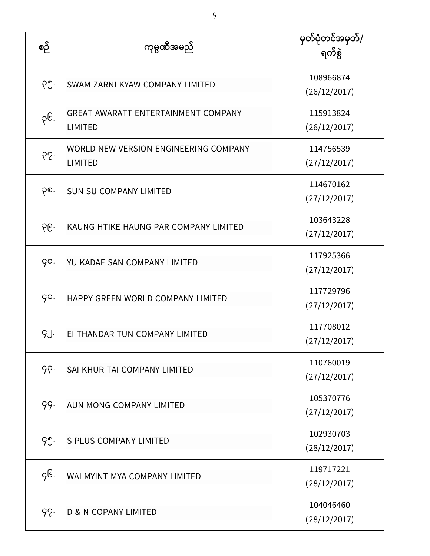| စဉ်  | ကုမ္ပဏီအမည်                                                  | မြတ်ပုံတင်အမှတ်/<br>ရက်စွဲ |
|------|--------------------------------------------------------------|----------------------------|
| ၃၅.  | SWAM ZARNI KYAW COMPANY LIMITED                              | 108966874<br>(26/12/2017)  |
| ၃၆.  | <b>GREAT AWARATT ENTERTAINMENT COMPANY</b><br><b>LIMITED</b> | 115913824<br>(26/12/2017)  |
| 65.  | WORLD NEW VERSION ENGINEERING COMPANY<br><b>LIMITED</b>      | 114756539<br>(27/12/2017)  |
| ၃၈.  | <b>SUN SU COMPANY LIMITED</b>                                | 114670162<br>(27/12/2017)  |
| ၃၉.  | KAUNG HTIKE HAUNG PAR COMPANY LIMITED                        | 103643228<br>(27/12/2017)  |
| go.  | YU KADAE SAN COMPANY LIMITED                                 | 117925366<br>(27/12/2017)  |
| go.  | HAPPY GREEN WORLD COMPANY LIMITED                            | 117729796<br>(27/12/2017)  |
| g.J. | EI THANDAR TUN COMPANY LIMITED                               | 117708012<br>(27/12/2017)  |
| 99.  | SAI KHUR TAI COMPANY LIMITED                                 | 110760019<br>(27/12/2017)  |
| 99.  | AUN MONG COMPANY LIMITED                                     | 105370776<br>(27/12/2017)  |
| 99.  | <b>S PLUS COMPANY LIMITED</b>                                | 102930703<br>(28/12/2017)  |
| gG.  | WAI MYINT MYA COMPANY LIMITED                                | 119717221<br>(28/12/2017)  |
| 92.  | <b>D &amp; N COPANY LIMITED</b>                              | 104046460<br>(28/12/2017)  |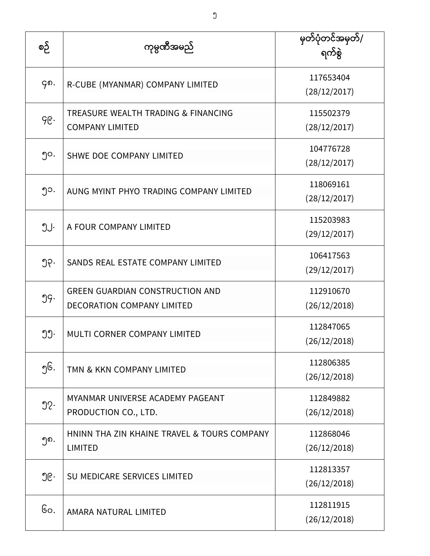| စဉ်              | ကုမ္ပဏီအမည်                                                                 | မြတ်ပုံတင်အမှတ်/<br>ရက်စွဲ |
|------------------|-----------------------------------------------------------------------------|----------------------------|
| ၄၈.              | R-CUBE (MYANMAR) COMPANY LIMITED                                            | 117653404<br>(28/12/2017)  |
| ge.              | TREASURE WEALTH TRADING & FINANCING<br><b>COMPANY LIMITED</b>               | 115502379<br>(28/12/2017)  |
| ၅၀.              | SHWE DOE COMPANY LIMITED                                                    | 104776728<br>(28/12/2017)  |
| ၅၁.              | AUNG MYINT PHYO TRADING COMPANY LIMITED                                     | 118069161<br>(28/12/2017)  |
| ၅၂.              | A FOUR COMPANY LIMITED                                                      | 115203983<br>(29/12/2017)  |
| ၅၃.              | SANDS REAL ESTATE COMPANY LIMITED                                           | 106417563<br>(29/12/2017)  |
| 99.              | <b>GREEN GUARDIAN CONSTRUCTION AND</b><br><b>DECORATION COMPANY LIMITED</b> | 112910670<br>(26/12/2018)  |
| ၅၅.              | <b>MULTI CORNER COMPANY LIMITED</b>                                         | 112847065<br>(26/12/2018)  |
| ၅၆.              | TMN & KKN COMPANY LIMITED                                                   | 112806385<br>(26/12/2018)  |
| $\mathfrak{D}$ . | MYANMAR UNIVERSE ACADEMY PAGEANT<br>PRODUCTION CO., LTD.                    | 112849882<br>(26/12/2018)  |
| ໆ໑.              | HNINN THA ZIN KHAINE TRAVEL & TOURS COMPANY<br><b>LIMITED</b>               | 112868046<br>(26/12/2018)  |
| ၅၉․              | SU MEDICARE SERVICES LIMITED                                                | 112813357<br>(26/12/2018)  |
| Go.              | AMARA NATURAL LIMITED                                                       | 112811915<br>(26/12/2018)  |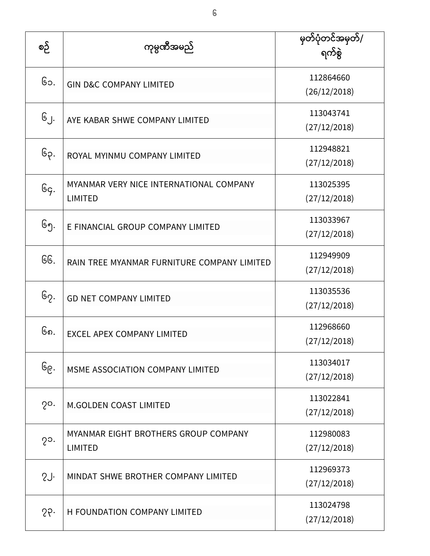| စဉ်           | ကုမ္ပဏီအမည်                                               | မြတ်ပုံတင်အမှတ်/<br>ရက်စွဲ |
|---------------|-----------------------------------------------------------|----------------------------|
| ၆၁.           | <b>GIN D&amp;C COMPANY LIMITED</b>                        | 112864660<br>(26/12/2018)  |
| ၆၂.           | AYE KABAR SHWE COMPANY LIMITED                            | 113043741<br>(27/12/2018)  |
| ၆၃.           | ROYAL MYINMU COMPANY LIMITED                              | 112948821<br>(27/12/2018)  |
| Gg.           | MYANMAR VERY NICE INTERNATIONAL COMPANY<br><b>LIMITED</b> | 113025395<br>(27/12/2018)  |
| ၆၅.           | E FINANCIAL GROUP COMPANY LIMITED                         | 113033967<br>(27/12/2018)  |
| GG.           | RAIN TREE MYANMAR FURNITURE COMPANY LIMITED               | 112949909<br>(27/12/2018)  |
| ၆၇.           | <b>GD NET COMPANY LIMITED</b>                             | 113035536<br>(27/12/2018)  |
| ၆၈.           | <b>EXCEL APEX COMPANY LIMITED</b>                         | 112968660<br>(27/12/2018)  |
| ၆၉.           | MSME ASSOCIATION COMPANY LIMITED                          | 113034017<br>(27/12/2018)  |
| $2^{\circ}$ . | <b>M.GOLDEN COAST LIMITED</b>                             | 113022841<br>(27/12/2018)  |
| $2^{\circ}$ . | MYANMAR EIGHT BROTHERS GROUP COMPANY<br><b>LIMITED</b>    | 112980083<br>(27/12/2018)  |
| SJ.           | MINDAT SHWE BROTHER COMPANY LIMITED                       | 112969373<br>(27/12/2018)  |
| 55            | H FOUNDATION COMPANY LIMITED                              | 113024798<br>(27/12/2018)  |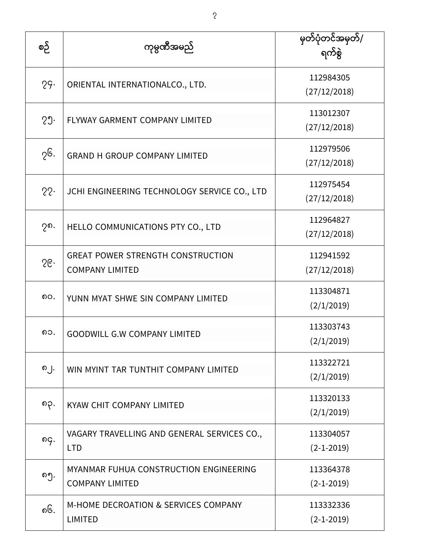| စဉ် | ကုမ္ပဏီအမည်                                                        | မြတ်ပုံတင်အမှတ်/<br>ရက်စွဲ    |
|-----|--------------------------------------------------------------------|-------------------------------|
| 29. | ORIENTAL INTERNATIONALCO., LTD.                                    | 112984305<br>(27/12/2018)     |
| 29. | FLYWAY GARMENT COMPANY LIMITED                                     | 113012307<br>(27/12/2018)     |
| ၇၆. | <b>GRAND H GROUP COMPANY LIMITED</b>                               | 112979506<br>(27/12/2018)     |
| 22. | JCHI ENGINEERING TECHNOLOGY SERVICE CO., LTD                       | 112975454<br>(27/12/2018)     |
| ၇၈. | HELLO COMMUNICATIONS PTY CO., LTD                                  | 112964827<br>(27/12/2018)     |
| 56  | <b>GREAT POWER STRENGTH CONSTRUCTION</b><br><b>COMPANY LIMITED</b> | 112941592<br>(27/12/2018)     |
| ၈၀. | YUNN MYAT SHWE SIN COMPANY LIMITED                                 | 113304871<br>(2/1/2019)       |
| ၈၁. | <b>GOODWILL G.W COMPANY LIMITED</b>                                | 113303743<br>(2/1/2019)       |
| ၈၂. | WIN MYINT TAR TUNTHIT COMPANY LIMITED                              | 113322721<br>(2/1/2019)       |
| ၈၃. | KYAW CHIT COMPANY LIMITED                                          | 113320133<br>(2/1/2019)       |
| ၈၄. | VAGARY TRAVELLING AND GENERAL SERVICES CO.,<br><b>LTD</b>          | 113304057<br>$(2 - 1 - 2019)$ |
| ၈၅. | MYANMAR FUHUA CONSTRUCTION ENGINEERING<br><b>COMPANY LIMITED</b>   | 113364378<br>$(2-1-2019)$     |
| ၈၆. | <b>M-HOME DECROATION &amp; SERVICES COMPANY</b><br><b>LIMITED</b>  | 113332336<br>$(2 - 1 - 2019)$ |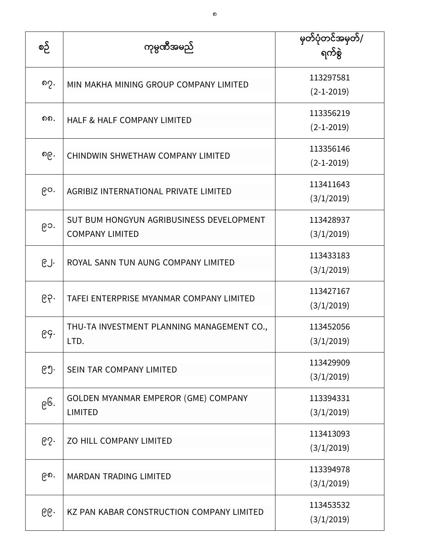| စဉ် | ကုမ္ပဏီအမည်                                                        | မှတ်ပုံတင်အမှတ်/<br>ရက်စွဲ    |
|-----|--------------------------------------------------------------------|-------------------------------|
| ၈၇. | MIN MAKHA MINING GROUP COMPANY LIMITED                             | 113297581<br>$(2-1-2019)$     |
| ດດ. | <b>HALF &amp; HALF COMPANY LIMITED</b>                             | 113356219<br>$(2 - 1 - 2019)$ |
| ၈၉. | CHINDWIN SHWETHAW COMPANY LIMITED                                  | 113356146<br>$(2 - 1 - 2019)$ |
| ၉၀. | AGRIBIZ INTERNATIONAL PRIVATE LIMITED                              | 113411643<br>(3/1/2019)       |
| ၉၁. | SUT BUM HONGYUN AGRIBUSINESS DEVELOPMENT<br><b>COMPANY LIMITED</b> | 113428937<br>(3/1/2019)       |
| ၉၂. | ROYAL SANN TUN AUNG COMPANY LIMITED                                | 113433183<br>(3/1/2019)       |
| ၉၃. | TAFEI ENTERPRISE MYANMAR COMPANY LIMITED                           | 113427167<br>(3/1/2019)       |
| E   | THU-TA INVESTMENT PLANNING MANAGEMENT CO.,<br>LTD.                 | 113452056<br>(3/1/2019)       |
| ၉၅. | <b>SEIN TAR COMPANY LIMITED</b>                                    | 113429909<br>(3/1/2019)       |
| ၉၆. | <b>GOLDEN MYANMAR EMPEROR (GME) COMPANY</b><br><b>LIMITED</b>      | 113394331<br>(3/1/2019)       |
| ၉၇. | ZO HILL COMPANY LIMITED                                            | 113413093<br>(3/1/2019)       |
| ၉၈. | <b>MARDAN TRADING LIMITED</b>                                      | 113394978<br>(3/1/2019)       |
| ၉၉. | KZ PAN KABAR CONSTRUCTION COMPANY LIMITED                          | 113453532<br>(3/1/2019)       |